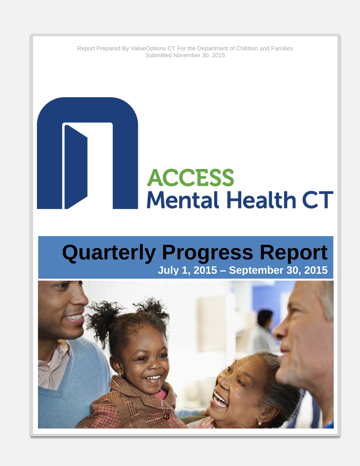Report Prepared By ValueOptions CT For the Department of Children and Families Submitted November 30, 2015

# **ACCESS Mental Health CT**

## **Quarterly Progress Report July 1, 2015 – September 30, 2015**

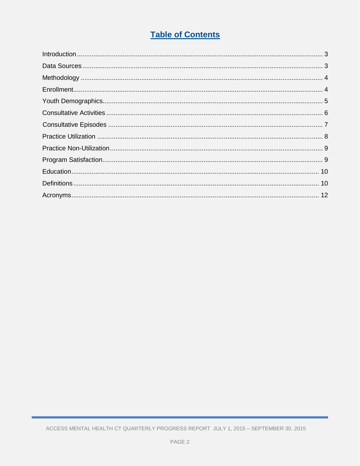## **Table of Contents**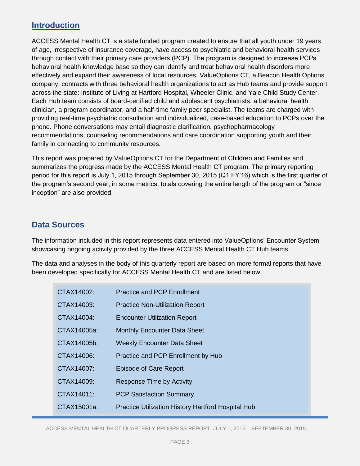## **Introduction**

ACCESS Mental Health CT is a state funded program created to ensure that all youth under 19 years of age, irrespective of insurance coverage, have access to psychiatric and behavioral health services through contact with their primary care providers (PCP). The program is designed to increase PCPs' behavioral health knowledge base so they can identify and treat behavioral health disorders more effectively and expand their awareness of local resources. ValueOptions CT, a Beacon Health Options company, contracts with three behavioral health organizations to act as Hub teams and provide support across the state: Institute of Living at Hartford Hospital, Wheeler Clinic, and Yale Child Study Center. Each Hub team consists of board-certified child and adolescent psychiatrists, a behavioral health clinician, a program coordinator, and a half-time family peer specialist. The teams are charged with providing real-time psychiatric consultation and individualized, case-based education to PCPs over the phone. Phone conversations may entail diagnostic clarification, psychopharmacology recommendations, counseling recommendations and care coordination supporting youth and their family in connecting to community resources.

This report was prepared by ValueOptions CT for the Department of Children and Families and summarizes the progress made by the ACCESS Mental Health CT program. The primary reporting period for this report is July 1, 2015 through September 30, 2015 (Q1 FY'16) which is the first quarter of the program's second year; in some metrics, totals covering the entire length of the program or "since inception" are also provided.

## **Data Sources**

The information included in this report represents data entered into ValueOptions' Encounter System showcasing ongoing activity provided by the three ACCESS Mental Health CT Hub teams.

The data and analyses in the body of this quarterly report are based on more formal reports that have been developed specifically for ACCESS Mental Health CT and are listed below.

| CTAX14002:  | <b>Practice and PCP Enrollment</b>                 |
|-------------|----------------------------------------------------|
| CTAX14003:  | <b>Practice Non-Utilization Report</b>             |
| CTAX14004:  | <b>Encounter Utilization Report</b>                |
| CTAX14005a: | <b>Monthly Encounter Data Sheet</b>                |
| CTAX14005b: | <b>Weekly Encounter Data Sheet</b>                 |
| CTAX14006:  | Practice and PCP Enrollment by Hub                 |
| CTAX14007:  | <b>Episode of Care Report</b>                      |
| CTAX14009:  | <b>Response Time by Activity</b>                   |
| CTAX14011:  | <b>PCP Satisfaction Summary</b>                    |
| CTAX15001a: | Practice Utilization History Hartford Hospital Hub |
|             |                                                    |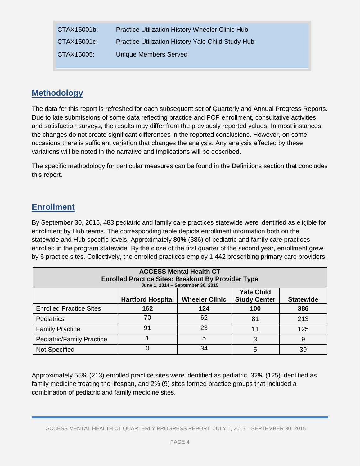| CTAX15001b: | <b>Practice Utilization History Wheeler Clinic Hub</b> |
|-------------|--------------------------------------------------------|
| CTAX15001c: | Practice Utilization History Yale Child Study Hub      |
| CTAX15005:  | <b>Unique Members Served</b>                           |

### **Methodology**

The data for this report is refreshed for each subsequent set of Quarterly and Annual Progress Reports. Due to late submissions of some data reflecting practice and PCP enrollment, consultative activities and satisfaction surveys, the results may differ from the previously reported values. In most instances, the changes do not create significant differences in the reported conclusions. However, on some occasions there is sufficient variation that changes the analysis. Any analysis affected by these variations will be noted in the narrative and implications will be described.

The specific methodology for particular measures can be found in the Definitions section that concludes this report.

## **Enrollment**

By September 30, 2015, 483 pediatric and family care practices statewide were identified as eligible for enrollment by Hub teams. The corresponding table depicts enrollment information both on the statewide and Hub specific levels. Approximately **80%** (386) of pediatric and family care practices enrolled in the program statewide. By the close of the first quarter of the second year, enrollment grew by 6 practice sites. Collectively, the enrolled practices employ 1,442 prescribing primary care providers.

| <b>ACCESS Mental Health CT</b><br><b>Enrolled Practice Sites: Breakout By Provider Type</b><br>June 1, 2014 - September 30, 2015 |                          |                       |                                          |                  |
|----------------------------------------------------------------------------------------------------------------------------------|--------------------------|-----------------------|------------------------------------------|------------------|
|                                                                                                                                  | <b>Hartford Hospital</b> | <b>Wheeler Clinic</b> | <b>Yale Child</b><br><b>Study Center</b> | <b>Statewide</b> |
| <b>Enrolled Practice Sites</b>                                                                                                   | 162                      | 124                   | 100                                      | 386              |
| <b>Pediatrics</b>                                                                                                                | 70                       | 62                    | 81                                       | 213              |
| <b>Family Practice</b>                                                                                                           | 91                       | 23                    | 11                                       | 125              |
| <b>Pediatric/Family Practice</b>                                                                                                 |                          | 5                     | 3                                        | 9                |
| Not Specified                                                                                                                    |                          | 34                    | 5                                        | 39               |

Approximately 55% (213) enrolled practice sites were identified as pediatric, 32% (125) identified as family medicine treating the lifespan, and 2% (9) sites formed practice groups that included a combination of pediatric and family medicine sites.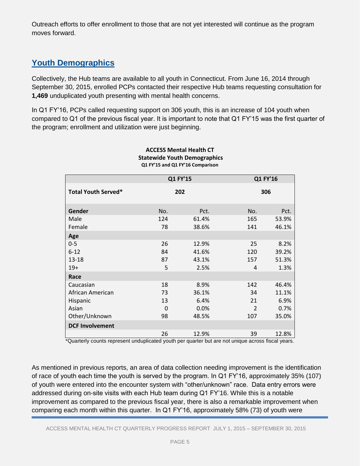Outreach efforts to offer enrollment to those that are not yet interested will continue as the program moves forward.

## **Youth Demographics**

Collectively, the Hub teams are available to all youth in Connecticut. From June 16, 2014 through September 30, 2015, enrolled PCPs contacted their respective Hub teams requesting consultation for **1,469** unduplicated youth presenting with mental health concerns.

In Q1 FY'16, PCPs called requesting support on 306 youth, this is an increase of 104 youth when compared to Q1 of the previous fiscal year. It is important to note that Q1 FY'15 was the first quarter of the program; enrollment and utilization were just beginning.

|                            |     | Q1 FY'15 |                | Q1 FY'16 |
|----------------------------|-----|----------|----------------|----------|
| <b>Total Youth Served*</b> |     | 202      |                | 306      |
| Gender                     | No. | Pct.     | No.            | Pct.     |
| Male                       | 124 | 61.4%    | 165            | 53.9%    |
| Female                     | 78  | 38.6%    | 141            | 46.1%    |
| Age                        |     |          |                |          |
| $0 - 5$                    | 26  | 12.9%    | 25             | 8.2%     |
| $6 - 12$                   | 84  | 41.6%    | 120            | 39.2%    |
| $13 - 18$                  | 87  | 43.1%    | 157            | 51.3%    |
| $19+$                      | 5   | 2.5%     | 4              | 1.3%     |
| Race                       |     |          |                |          |
| Caucasian                  | 18  | 8.9%     | 142            | 46.4%    |
| African American           | 73  | 36.1%    | 34             | 11.1%    |
| Hispanic                   | 13  | 6.4%     | 21             | 6.9%     |
| Asian                      | 0   | 0.0%     | $\overline{2}$ | 0.7%     |
| Other/Unknown              | 98  | 48.5%    | 107            | 35.0%    |
| <b>DCF Involvement</b>     |     |          |                |          |
|                            | 26  | 12.9%    | 39             | 12.8%    |

#### **ACCESS Mental Health CT Statewide Youth Demographics Q1 FY'15 and Q1 FY'16 Comparison**

\*Quarterly counts represent unduplicated youth per quarter but are not unique across fiscal years.

As mentioned in previous reports, an area of data collection needing improvement is the identification of race of youth each time the youth is served by the program. In Q1 FY'16, approximately 35% (107) of youth were entered into the encounter system with "other/unknown" race. Data entry errors were addressed during on-site visits with each Hub team during Q1 FY'16. While this is a notable improvement as compared to the previous fiscal year, there is also a remarkable improvement when comparing each month within this quarter. In Q1 FY'16, approximately 58% (73) of youth were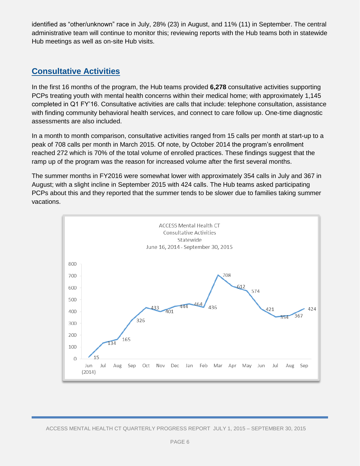identified as "other/unknown" race in July, 28% (23) in August, and 11% (11) in September. The central administrative team will continue to monitor this; reviewing reports with the Hub teams both in statewide Hub meetings as well as on-site Hub visits.

## **Consultative Activities**

In the first 16 months of the program, the Hub teams provided **6,278** consultative activities supporting PCPs treating youth with mental health concerns within their medical home; with approximately 1,145 completed in Q1 FY'16. Consultative activities are calls that include: telephone consultation, assistance with finding community behavioral health services, and connect to care follow up. One-time diagnostic assessments are also included.

In a month to month comparison, consultative activities ranged from 15 calls per month at start-up to a peak of 708 calls per month in March 2015. Of note, by October 2014 the program's enrollment reached 272 which is 70% of the total volume of enrolled practices. These findings suggest that the ramp up of the program was the reason for increased volume after the first several months.

The summer months in FY2016 were somewhat lower with approximately 354 calls in July and 367 in August; with a slight incline in September 2015 with 424 calls. The Hub teams asked participating PCPs about this and they reported that the summer tends to be slower due to families taking summer vacations.

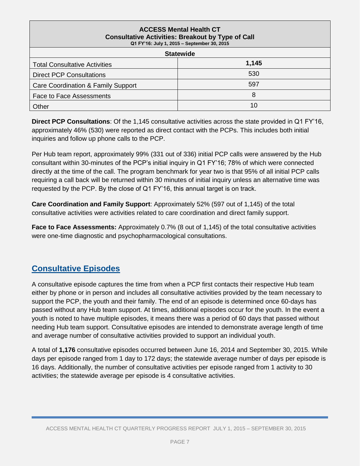| <b>ACCESS Mental Health CT</b><br><b>Consultative Activities: Breakout by Type of Call</b><br>Q1 FY'16: July 1, 2015 - September 30, 2015 |       |  |  |
|-------------------------------------------------------------------------------------------------------------------------------------------|-------|--|--|
| <b>Statewide</b>                                                                                                                          |       |  |  |
| <b>Total Consultative Activities</b>                                                                                                      | 1,145 |  |  |
| <b>Direct PCP Consultations</b>                                                                                                           | 530   |  |  |
| Care Coordination & Family Support                                                                                                        | 597   |  |  |
| <b>Face to Face Assessments</b>                                                                                                           | 8     |  |  |
| Other                                                                                                                                     | 10    |  |  |

**Direct PCP Consultations**: Of the 1,145 consultative activities across the state provided in Q1 FY'16, approximately 46% (530) were reported as direct contact with the PCPs. This includes both initial inquiries and follow up phone calls to the PCP.

Per Hub team report, approximately 99% (331 out of 336) initial PCP calls were answered by the Hub consultant within 30-minutes of the PCP's initial inquiry in Q1 FY'16; 78% of which were connected directly at the time of the call. The program benchmark for year two is that 95% of all initial PCP calls requiring a call back will be returned within 30 minutes of initial inquiry unless an alternative time was requested by the PCP. By the close of Q1 FY'16, this annual target is on track.

**Care Coordination and Family Support**: Approximately 52% (597 out of 1,145) of the total consultative activities were activities related to care coordination and direct family support.

**Face to Face Assessments:** Approximately 0.7% (8 out of 1,145) of the total consultative activities were one-time diagnostic and psychopharmacological consultations.

## **Consultative Episodes**

A consultative episode captures the time from when a PCP first contacts their respective Hub team either by phone or in person and includes all consultative activities provided by the team necessary to support the PCP, the youth and their family. The end of an episode is determined once 60-days has passed without any Hub team support. At times, additional episodes occur for the youth. In the event a youth is noted to have multiple episodes, it means there was a period of 60 days that passed without needing Hub team support. Consultative episodes are intended to demonstrate average length of time and average number of consultative activities provided to support an individual youth.

A total of **1,176** consultative episodes occurred between June 16, 2014 and September 30, 2015. While days per episode ranged from 1 day to 172 days; the statewide average number of days per episode is 16 days. Additionally, the number of consultative activities per episode ranged from 1 activity to 30 activities; the statewide average per episode is 4 consultative activities.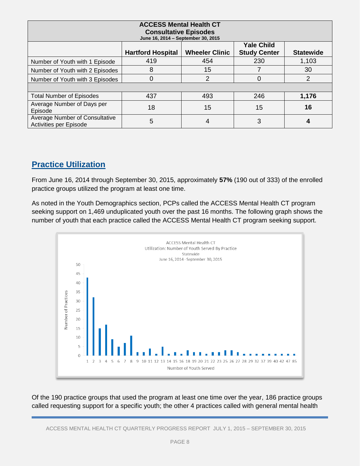| <b>ACCESS Mental Health CT</b><br><b>Consultative Episodes</b><br>June 16, 2014 - September 30, 2015 |                          |                       |                                          |                  |
|------------------------------------------------------------------------------------------------------|--------------------------|-----------------------|------------------------------------------|------------------|
|                                                                                                      | <b>Hartford Hospital</b> | <b>Wheeler Clinic</b> | <b>Yale Child</b><br><b>Study Center</b> | <b>Statewide</b> |
| Number of Youth with 1 Episode                                                                       | 419                      | 454                   | 230                                      | 1,103            |
| Number of Youth with 2 Episodes                                                                      | 8                        | 15                    |                                          | 30               |
| Number of Youth with 3 Episodes                                                                      |                          | 2                     | 0                                        | 2                |
|                                                                                                      |                          |                       |                                          |                  |
| <b>Total Number of Episodes</b>                                                                      | 437                      | 493                   | 246                                      | 1,176            |
| Average Number of Days per<br>Episode                                                                | 18                       | 15                    | 15                                       | 16               |
| Average Number of Consultative<br>Activities per Episode                                             | 5                        | 4                     | 3                                        |                  |

## **Practice Utilization**

From June 16, 2014 through September 30, 2015, approximately **57%** (190 out of 333) of the enrolled practice groups utilized the program at least one time.

As noted in the Youth Demographics section, PCPs called the ACCESS Mental Health CT program seeking support on 1,469 unduplicated youth over the past 16 months. The following graph shows the number of youth that each practice called the ACCESS Mental Health CT program seeking support.



Of the 190 practice groups that used the program at least one time over the year, 186 practice groups called requesting support for a specific youth; the other 4 practices called with general mental health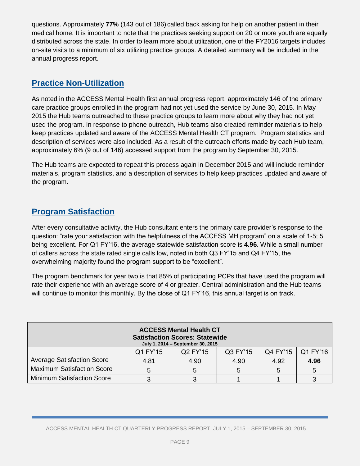questions. Approximately **77%** (143 out of 186) called back asking for help on another patient in their medical home. It is important to note that the practices seeking support on 20 or more youth are equally distributed across the state. In order to learn more about utilization, one of the FY2016 targets includes on-site visits to a minimum of six utilizing practice groups. A detailed summary will be included in the annual progress report.

## **Practice Non-Utilization**

As noted in the ACCESS Mental Health first annual progress report, approximately 146 of the primary care practice groups enrolled in the program had not yet used the service by June 30, 2015. In May 2015 the Hub teams outreached to these practice groups to learn more about why they had not yet used the program. In response to phone outreach, Hub teams also created reminder materials to help keep practices updated and aware of the ACCESS Mental Health CT program. Program statistics and description of services were also included. As a result of the outreach efforts made by each Hub team, approximately 6% (9 out of 146) accessed support from the program by September 30, 2015.

The Hub teams are expected to repeat this process again in December 2015 and will include reminder materials, program statistics, and a description of services to help keep practices updated and aware of the program.

## **Program Satisfaction**

After every consultative activity, the Hub consultant enters the primary care provider's response to the question: "rate your satisfaction with the helpfulness of the ACCESS MH program" on a scale of 1-5; 5 being excellent. For Q1 FY'16, the average statewide satisfaction score is **4.96**. While a small number of callers across the state rated single calls low, noted in both Q3 FY'15 and Q4 FY'15, the overwhelming majority found the program support to be "excellent".

The program benchmark for year two is that 85% of participating PCPs that have used the program will rate their experience with an average score of 4 or greater. Central administration and the Hub teams will continue to monitor this monthly. By the close of Q1 FY'16, this annual target is on track.

|                                   |          | <b>ACCESS Mental Health CT</b><br><b>Satisfaction Scores: Statewide</b><br>July 1, 2014 - September 30, 2015 |          |          |          |
|-----------------------------------|----------|--------------------------------------------------------------------------------------------------------------|----------|----------|----------|
|                                   | Q1 FY'15 | Q2 FY'15                                                                                                     | Q3 FY'15 | Q4 FY'15 | Q1 FY'16 |
| <b>Average Satisfaction Score</b> | 4.81     | 4.90                                                                                                         | 4.90     | 4.92     | 4.96     |
| <b>Maximum Satisfaction Score</b> |          |                                                                                                              |          |          |          |
| <b>Minimum Satisfaction Score</b> |          |                                                                                                              |          |          |          |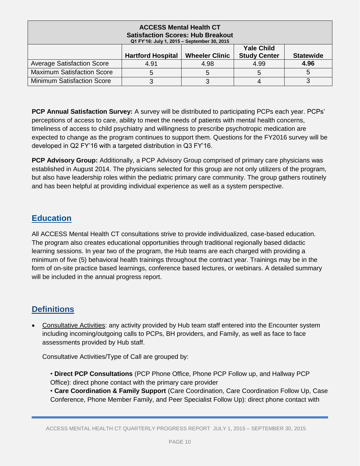|                                   | <b>ACCESS Mental Health CT</b><br><b>Satisfaction Scores: Hub Breakout</b><br>Q1 FY'16: July 1, 2015 - September 30, 2015 |                       |                                          |                  |
|-----------------------------------|---------------------------------------------------------------------------------------------------------------------------|-----------------------|------------------------------------------|------------------|
|                                   | <b>Hartford Hospital</b>                                                                                                  | <b>Wheeler Clinic</b> | <b>Yale Child</b><br><b>Study Center</b> | <b>Statewide</b> |
| <b>Average Satisfaction Score</b> | 4.91                                                                                                                      | 4.98                  | 4.99                                     | 4.96             |
| <b>Maximum Satisfaction Score</b> | 5                                                                                                                         | 5                     | 5                                        |                  |
| <b>Minimum Satisfaction Score</b> |                                                                                                                           |                       |                                          |                  |

**PCP Annual Satisfaction Survey:** A survey will be distributed to participating PCPs each year. PCPs' perceptions of access to care, ability to meet the needs of patients with mental health concerns, timeliness of access to child psychiatry and willingness to prescribe psychotropic medication are expected to change as the program continues to support them. Questions for the FY2016 survey will be developed in Q2 FY'16 with a targeted distribution in Q3 FY'16.

**PCP Advisory Group:** Additionally, a PCP Advisory Group comprised of primary care physicians was established in August 2014. The physicians selected for this group are not only utilizers of the program, but also have leadership roles within the pediatric primary care community. The group gathers routinely and has been helpful at providing individual experience as well as a system perspective.

## **Education**

All ACCESS Mental Health CT consultations strive to provide individualized, case-based education. The program also creates educational opportunities through traditional regionally based didactic learning sessions. In year two of the program, the Hub teams are each charged with providing a minimum of five (5) behavioral health trainings throughout the contract year. Trainings may be in the form of on-site practice based learnings, conference based lectures, or webinars. A detailed summary will be included in the annual progress report.

## **Definitions**

 Consultative Activities: any activity provided by Hub team staff entered into the Encounter system including incoming/outgoing calls to PCPs, BH providers, and Family, as well as face to face assessments provided by Hub staff.

Consultative Activities/Type of Call are grouped by:

- **Direct PCP Consultations** (PCP Phone Office, Phone PCP Follow up, and Hallway PCP Office): direct phone contact with the primary care provider
- **Care Coordination & Family Support** (Care Coordination, Care Coordination Follow Up, Case Conference, Phone Member Family, and Peer Specialist Follow Up): direct phone contact with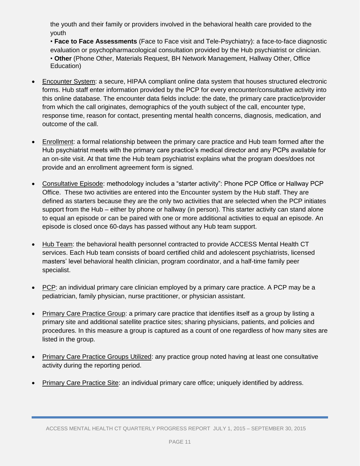the youth and their family or providers involved in the behavioral health care provided to the youth

• **Face to Face Assessments** (Face to Face visit and Tele-Psychiatry): a face-to-face diagnostic evaluation or psychopharmacological consultation provided by the Hub psychiatrist or clinician. • **Other** (Phone Other, Materials Request, BH Network Management, Hallway Other, Office Education)

- Encounter System: a secure, HIPAA compliant online data system that houses structured electronic forms. Hub staff enter information provided by the PCP for every encounter/consultative activity into this online database. The encounter data fields include: the date, the primary care practice/provider from which the call originates, demographics of the youth subject of the call, encounter type, response time, reason for contact, presenting mental health concerns, diagnosis, medication, and outcome of the call.
- Enrollment: a formal relationship between the primary care practice and Hub team formed after the Hub psychiatrist meets with the primary care practice's medical director and any PCPs available for an on-site visit. At that time the Hub team psychiatrist explains what the program does/does not provide and an enrollment agreement form is signed.
- Consultative Episode: methodology includes a "starter activity": Phone PCP Office or Hallway PCP Office. These two activities are entered into the Encounter system by the Hub staff. They are defined as starters because they are the only two activities that are selected when the PCP initiates support from the Hub – either by phone or hallway (in person). This starter activity can stand alone to equal an episode or can be paired with one or more additional activities to equal an episode. An episode is closed once 60-days has passed without any Hub team support.
- Hub Team: the behavioral health personnel contracted to provide ACCESS Mental Health CT services. Each Hub team consists of board certified child and adolescent psychiatrists, licensed masters' level behavioral health clinician, program coordinator, and a half-time family peer specialist.
- PCP: an individual primary care clinician employed by a primary care practice. A PCP may be a pediatrician, family physician, nurse practitioner, or physician assistant.
- Primary Care Practice Group: a primary care practice that identifies itself as a group by listing a primary site and additional satellite practice sites; sharing physicians, patients, and policies and procedures. In this measure a group is captured as a count of one regardless of how many sites are listed in the group.
- Primary Care Practice Groups Utilized: any practice group noted having at least one consultative activity during the reporting period.
- Primary Care Practice Site: an individual primary care office; uniquely identified by address.